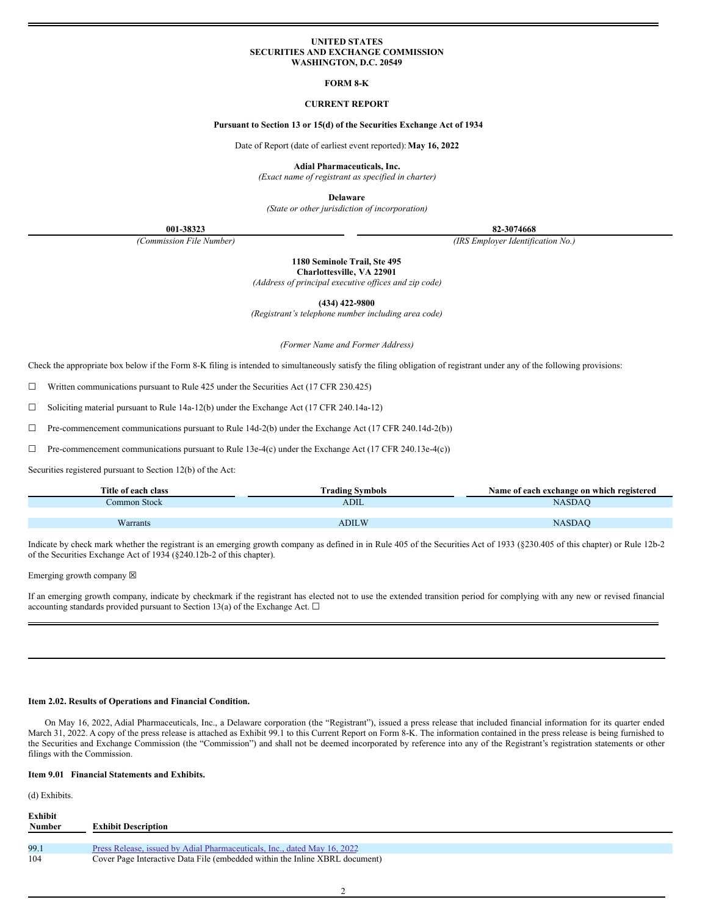### **UNITED STATES SECURITIES AND EXCHANGE COMMISSION WASHINGTON, D.C. 20549**

### **FORM 8-K**

### **CURRENT REPORT**

### **Pursuant to Section 13 or 15(d) of the Securities Exchange Act of 1934**

Date of Report (date of earliest event reported):**May 16, 2022**

**Adial Pharmaceuticals, Inc.**

*(Exact name of registrant as specified in charter)*

**Delaware**

*(State or other jurisdiction of incorporation)*

**001-38323 82-3074668**

*(Commission File Number) (IRS Employer Identification No.)*

**1180 Seminole Trail, Ste 495 Charlottesville, VA 22901**

*(Address of principal executive of ices and zip code)*

**(434) 422-9800**

*(Registrant's telephone number including area code)*

*(Former Name and Former Address)*

Check the appropriate box below if the Form 8-K filing is intended to simultaneously satisfy the filing obligation of registrant under any of the following provisions:

☐ Written communications pursuant to Rule 425 under the Securities Act (17 CFR 230.425)

☐ Soliciting material pursuant to Rule 14a-12(b) under the Exchange Act (17 CFR 240.14a-12)

 $\Box$  Pre-commencement communications pursuant to Rule 14d-2(b) under the Exchange Act (17 CFR 240.14d-2(b))

☐ Pre-commencement communications pursuant to Rule 13e-4(c) under the Exchange Act (17 CFR 240.13e-4(c))

Securities registered pursuant to Section 12(b) of the Act:

| Title of each class | Frading Symbols | Name of each exchange on which registered |
|---------------------|-----------------|-------------------------------------------|
| Common Stock        | <b>ADIL</b>     | NASDAC                                    |
|                     |                 |                                           |
| Warrants            | ADILW           | NASDA(                                    |

Indicate by check mark whether the registrant is an emerging growth company as defined in in Rule 405 of the Securities Act of 1933 (§230.405 of this chapter) or Rule 12b-2 of the Securities Exchange Act of 1934 (§240.12b-2 of this chapter).

Emerging growth company  $\boxtimes$ 

If an emerging growth company, indicate by checkmark if the registrant has elected not to use the extended transition period for complying with any new or revised financial accounting standards provided pursuant to Section 13(a) of the Exchange Act.  $\square$ 

#### **Item 2.02. Results of Operations and Financial Condition.**

On May 16, 2022, Adial Pharmaceuticals, Inc., a Delaware corporation (the "Registrant"), issued a press release that included financial information for its quarter ended March 31, 2022. A copy of the press release is attached as Exhibit 99.1 to this Current Report on Form 8-K. The information contained in the press release is being furnished to the Securities and Exchange Commission (the "Commission") and shall not be deemed incorporated by reference into any of the Registrant's registration statements or other filings with the Commission.

## **Item 9.01 Financial Statements and Exhibits.**

(d) Exhibits.

| Exhibit       |                                                                             |
|---------------|-----------------------------------------------------------------------------|
| <b>Number</b> | <b>Exhibit Description</b>                                                  |
|               |                                                                             |
| 99.1          | Press Release, issued by Adial Pharmaceuticals, Inc., dated May 16, 2022    |
| 104           | Cover Page Interactive Data File (embedded within the Inline XBRL document) |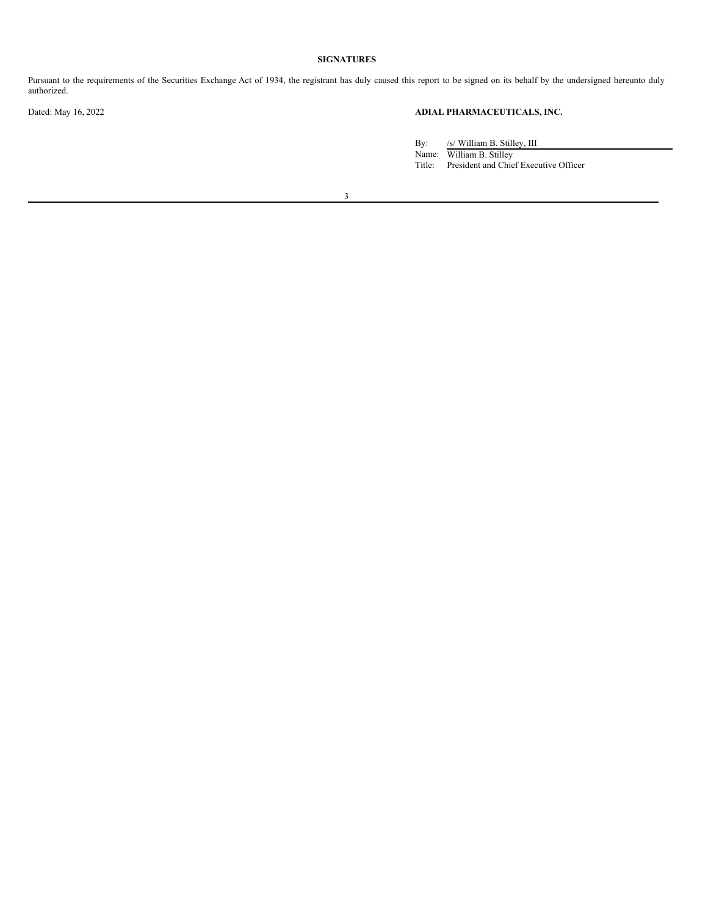## **SIGNATURES**

Pursuant to the requirements of the Securities Exchange Act of 1934, the registrant has duly caused this report to be signed on its behalf by the undersigned hereunto duly authorized.

# Dated: May 16, 2022 **ADIAL PHARMACEUTICALS, INC.**

By: /s/ William B. Stilley, III Name: William B. Stilley Title: President and Chief Executive Officer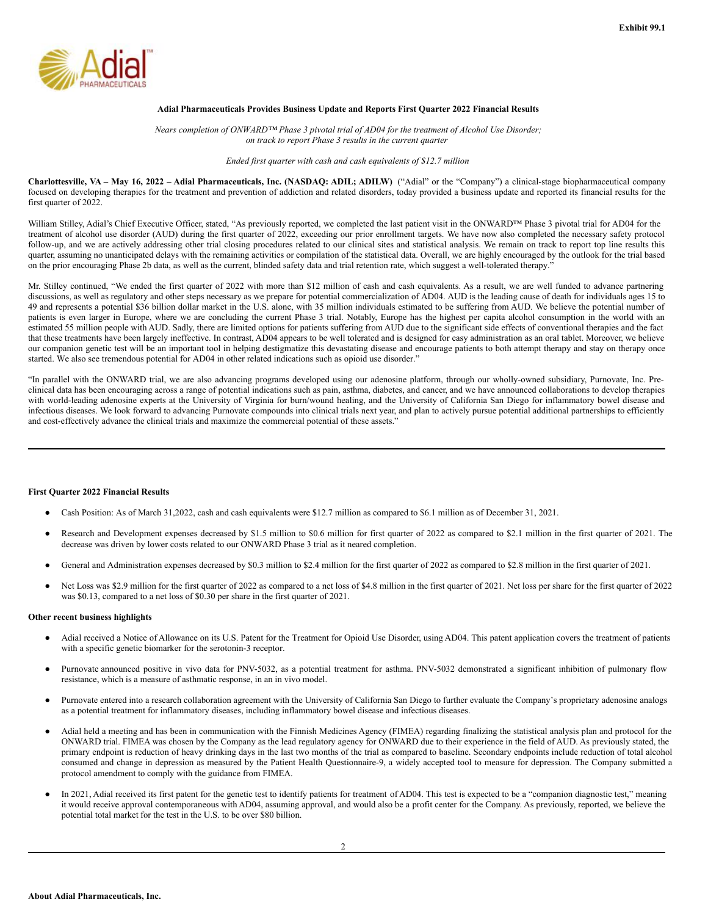<span id="page-2-0"></span>

### **Adial Pharmaceuticals Provides Business Update and Reports First Quarter 2022 Financial Results**

*Nears completion of ONWARD™ Phase 3 pivotal trial of AD04 for the treatment of Alcohol Use Disorder; on track to report Phase 3 results in the current quarter*

*Ended first quarter with cash and cash equivalents of \$12.7 million*

Charlottesville, VA - May 16, 2022 - Adial Pharmaceuticals, Inc. (NASDAQ: ADIL; ADILW) ("Adial" or the "Company") a clinical-stage biopharmaceutical company focused on developing therapies for the treatment and prevention of addiction and related disorders, today provided a business update and reported its financial results for the first quarter of 2022.

William Stilley, Adial's Chief Executive Officer, stated, "As previously reported, we completed the last patient visit in the ONWARD™ Phase 3 pivotal trial for AD04 for the treatment of alcohol use disorder (AUD) during the first quarter of 2022, exceeding our prior enrollment targets. We have now also completed the necessary safety protocol follow-up, and we are actively addressing other trial closing procedures related to our clinical sites and statistical analysis. We remain on track to report top line results this quarter, assuming no unanticipated delays with the remaining activities or compilation of the statistical data. Overall, we are highly encouraged by the outlook for the trial based on the prior encouraging Phase 2b data, as well as the current, blinded safety data and trial retention rate, which suggest a well-tolerated therapy."

Mr. Stilley continued, "We ended the first quarter of 2022 with more than \$12 million of cash and cash equivalents. As a result, we are well funded to advance partnering discussions, as well as regulatory and other steps necessary as we prepare for potential commercialization of AD04. AUD is the leading cause of death for individuals ages 15 to 49 and represents a potential \$36 billion dollar market in the U.S. alone, with 35 million individuals estimated to be suffering from AUD. We believe the potential number of patients is even larger in Europe, where we are concluding the current Phase 3 trial. Notably, Europe has the highest per capita alcohol consumption in the world with an estimated 55 million people with AUD. Sadly, there are limited options for patients suffering from AUD due to the significant side effects of conventional therapies and the fact that these treatments have been largely ineffective. In contrast, AD04 appears to be well tolerated and is designed for easy administration as an oral tablet. Moreover, we believe our companion genetic test will be an important tool in helping destigmatize this devastating disease and encourage patients to both attempt therapy and stay on therapy once started. We also see tremendous potential for AD04 in other related indications such as opioid use disorder."

"In parallel with the ONWARD trial, we are also advancing programs developed using our adenosine platform, through our wholly-owned subsidiary, Purnovate, Inc. Preclinical data has been encouraging across a range of potential indications such as pain, asthma, diabetes, and cancer, and we have announced collaborations to develop therapies with world-leading adenosine experts at the University of Virginia for burn/wound healing, and the University of California San Diego for inflammatory bowel disease and infectious diseases. We look forward to advancing Purnovate compounds into clinical trials next year, and plan to actively pursue potential additional partnerships to efficiently and cost-effectively advance the clinical trials and maximize the commercial potential of these assets."

### **First Quarter 2022 Financial Results**

- Cash Position: As of March 31,2022, cash and cash equivalents were \$12.7 million as compared to \$6.1 million as of December 31, 2021.
- Research and Development expenses decreased by \$1.5 million to \$0.6 million for first quarter of 2022 as compared to \$2.1 million in the first quarter of 2021. The decrease was driven by lower costs related to our ONWARD Phase 3 trial as it neared completion.
- General and Administration expenses decreased by \$0.3 million to \$2.4 million for the first quarter of 2022 as compared to \$2.8 million in the first quarter of 2021.
- Net Loss was \$2.9 million for the first quarter of 2022 as compared to a net loss of \$4.8 million in the first quarter of 2021. Net loss per share for the first quarter of 2022 was \$0.13, compared to a net loss of \$0.30 per share in the first quarter of 2021.

### **Other recent business highlights**

- Adial received a Notice of Allowance on its U.S. Patent for the Treatment for Opioid Use Disorder, using AD04. This patent application covers the treatment of patients with a specific genetic biomarker for the serotonin-3 receptor.
- Purnovate announced positive in vivo data for PNV-5032, as a potential treatment for asthma. PNV-5032 demonstrated a significant inhibition of pulmonary flow resistance, which is a measure of asthmatic response, in an in vivo model.
- Purnovate entered into a research collaboration agreement with the University of California San Diego to further evaluate the Company's proprietary adenosine analogs as a potential treatment for inflammatory diseases, including inflammatory bowel disease and infectious diseases.
- Adial held a meeting and has been in communication with the Finnish Medicines Agency (FIMEA) regarding finalizing the statistical analysis plan and protocol for the ONWARD trial. FIMEA was chosen by the Company as the lead regulatory agency for ONWARD due to their experience in the field of AUD. As previously stated, the primary endpoint is reduction of heavy drinking days in the last two months of the trial as compared to baseline. Secondary endpoints include reduction of total alcohol consumed and change in depression as measured by the Patient Health Questionnaire-9, a widely accepted tool to measure for depression. The Company submitted a protocol amendment to comply with the guidance from FIMEA.
- In 2021, Adial received its first patent for the genetic test to identify patients for treatment of AD04. This test is expected to be a "companion diagnostic test," meaning it would receive approval contemporaneous with AD04, assuming approval, and would also be a profit center for the Company. As previously, reported, we believe the potential total market for the test in the U.S. to be over \$80 billion.